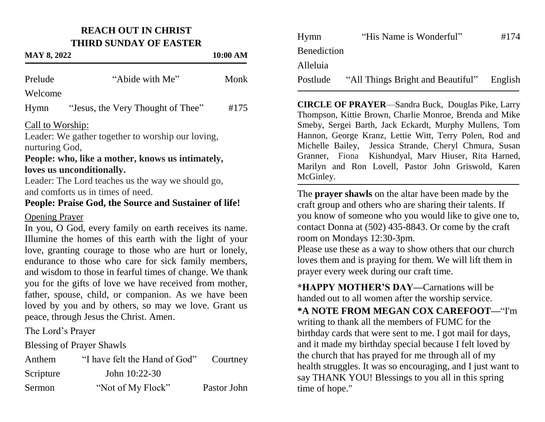## **REACH OUT IN CHRIST THIRD SUNDAY OF EASTER**

## **MAY 8, 2022 10:00 AM**

| Prelude                                                 | "Abide with Me"                                         | Monk |  |  |  |
|---------------------------------------------------------|---------------------------------------------------------|------|--|--|--|
| Welcome                                                 |                                                         |      |  |  |  |
| Hymn                                                    | "Jesus, the Very Thought of Thee"                       | #175 |  |  |  |
| Call to Worship:                                        |                                                         |      |  |  |  |
| Leader: We gather together to worship our loving,       |                                                         |      |  |  |  |
| nurturing God,                                          |                                                         |      |  |  |  |
| People: who, like a mother, knows us intimately,        |                                                         |      |  |  |  |
| loves us unconditionally.                               |                                                         |      |  |  |  |
| Leader: The Lord teaches us the way we should go,       |                                                         |      |  |  |  |
| and comforts us in times of need.                       |                                                         |      |  |  |  |
| People: Praise God, the Source and Sustainer of life!   |                                                         |      |  |  |  |
| <b>Opening Prayer</b>                                   |                                                         |      |  |  |  |
| In you, O God, every family on earth receives its name. |                                                         |      |  |  |  |
| Illumine the homes of this earth with the light of your |                                                         |      |  |  |  |
|                                                         | love, granting courage to those who are hurt or lonely. |      |  |  |  |

love, granting courage to those who are hurt or lonely, endurance to those who care for sick family members, and wisdom to those in fearful times of change. We thank you for the gifts of love we have received from mother, father, spouse, child, or companion. As we have been loved by you and by others, so may we love. Grant us peace, through Jesus the Christ. Amen.

The Lord's Prayer

Blessing of Prayer Shawls

| Anthem    | "I have felt the Hand of God" | Courtney    |
|-----------|-------------------------------|-------------|
| Scripture | John $10:22-30$               |             |
| Sermon    | "Not of My Flock"             | Pastor John |

| Hymn               | "His Name is Wonderful"           | #174    |
|--------------------|-----------------------------------|---------|
| <b>Benediction</b> |                                   |         |
| Alleluia           |                                   |         |
| Postlude           | "All Things Bright and Beautiful" | English |

**CIRCLE OF PRAYER**—Sandra Buck, Douglas Pike, Larry Thompson, Kittie Brown, Charlie Monroe, Brenda and Mike Smeby, Sergei Barth, Jack Eckardt, Murphy Mullens, Tom Hannon, George Kranz, Lettie Witt, Terry Polen, Rod and Michelle Bailey, Jessica Strande, Cheryl Chmura, Susan Granner, Fiona Kishundyal, Marv Hiuser, Rita Harned, Marilyn and Ron Lovell, Pastor John Griswold, Karen McGinley.

The **prayer shawls** on the altar have been made by the craft group and others who are sharing their talents. If you know of someone who you would like to give one to, contact Donna at (502) 435-8843. Or come by the craft room on Mondays 12:30-3pm.

Please use these as a way to show others that our church loves them and is praying for them. We will lift them in prayer every week during our craft time.

**\*HAPPY MOTHER'S DAY—**Carnations will be handed out to all women after the worship service.

**\*A NOTE FROM MEGAN COX CAREFOOT—**"I'm writing to thank all the members of FUMC for the birthday cards that were sent to me. I got mail for days, and it made my birthday special because I felt loved by the church that has prayed for me through all of my health struggles. It was so encouraging, and I just want to say THANK YOU! Blessings to you all in this spring time of hope."